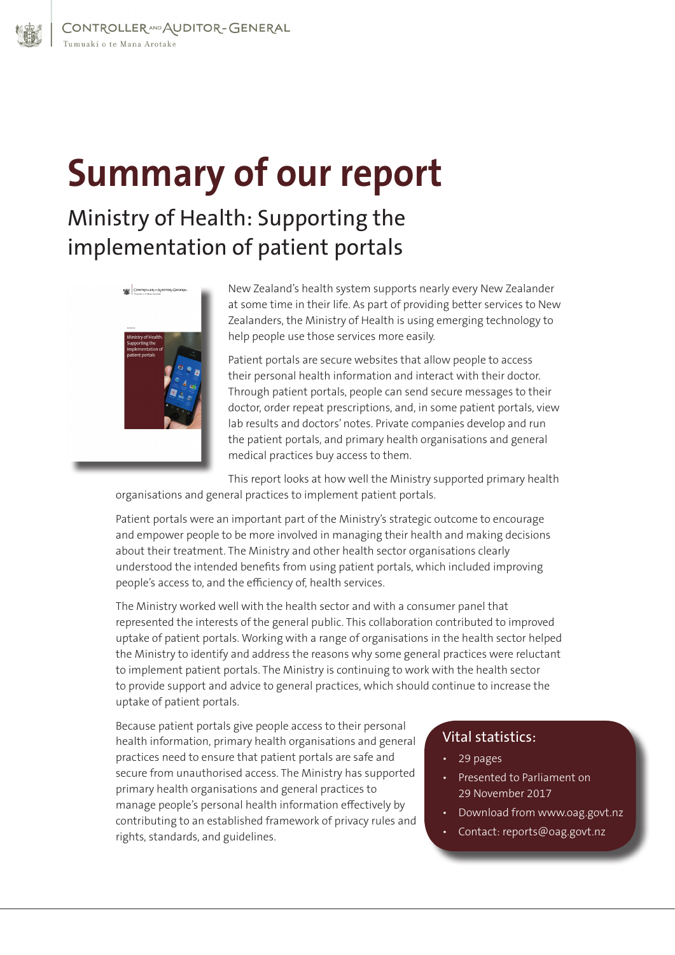## **Summary of our report**

## Ministry of Health: Supporting the implementation of patient portals



New Zealand's health system supports nearly every New Zealander at some time in their life. As part of providing better services to New Zealanders, the Ministry of Health is using emerging technology to help people use those services more easily.

Patient portals are secure websites that allow people to access their personal health information and interact with their doctor. Through patient portals, people can send secure messages to their doctor, order repeat prescriptions, and, in some patient portals, view lab results and doctors' notes. Private companies develop and run the patient portals, and primary health organisations and general medical practices buy access to them.

This report looks at how well the Ministry supported primary health organisations and general practices to implement patient portals.

Patient portals were an important part of the Ministry's strategic outcome to encourage and empower people to be more involved in managing their health and making decisions about their treatment. The Ministry and other health sector organisations clearly understood the intended benefits from using patient portals, which included improving people's access to, and the efficiency of, health services.

The Ministry worked well with the health sector and with a consumer panel that represented the interests of the general public. This collaboration contributed to improved uptake of patient portals. Working with a range of organisations in the health sector helped the Ministry to identify and address the reasons why some general practices were reluctant to implement patient portals. The Ministry is continuing to work with the health sector to provide support and advice to general practices, which should continue to increase the uptake of patient portals.

Because patient portals give people access to their personal health information, primary health organisations and general practices need to ensure that patient portals are safe and secure from unauthorised access. The Ministry has supported primary health organisations and general practices to manage people's personal health information effectively by contributing to an established framework of privacy rules and rights, standards, and guidelines.

## Vital statistics:

- 29 pages
- Presented to Parliament on 29 November 2017
- Download from www.oag.govt.nz
- Contact: reports@oag.govt.nz